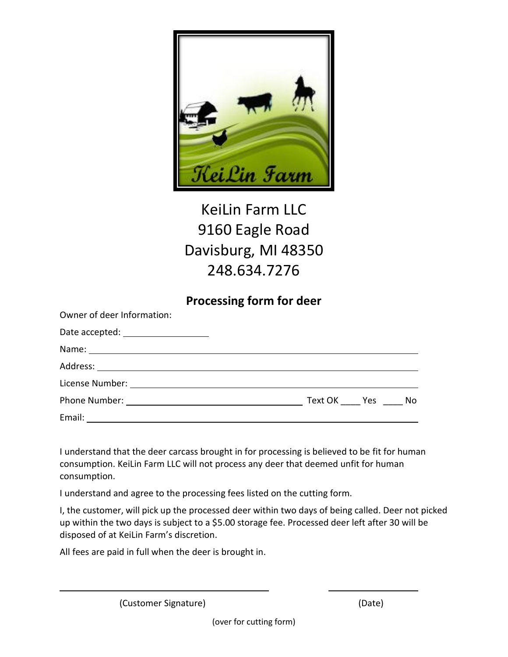

## KeiLin Farm LLC 9160 Eagle Road Davisburg, MI 48350 248.634.7276

## **Processing form for deer**

| Owner of deer Information:                                                                                     |                |  |
|----------------------------------------------------------------------------------------------------------------|----------------|--|
| Date accepted: ____________________                                                                            |                |  |
| Name: Name and the second contract of the second contract of the second contract of the second contract of the |                |  |
|                                                                                                                |                |  |
|                                                                                                                |                |  |
|                                                                                                                | Text OK Yes No |  |
|                                                                                                                |                |  |

I understand that the deer carcass brought in for processing is believed to be fit for human consumption. KeiLin Farm LLC will not process any deer that deemed unfit for human consumption.

I understand and agree to the processing fees listed on the cutting form.

I, the customer, will pick up the processed deer within two days of being called. Deer not picked up within the two days is subject to a \$5.00 storage fee. Processed deer left after 30 will be disposed of at KeiLin Farm's discretion.

All fees are paid in full when the deer is brought in.

(Customer Signature) (Date)